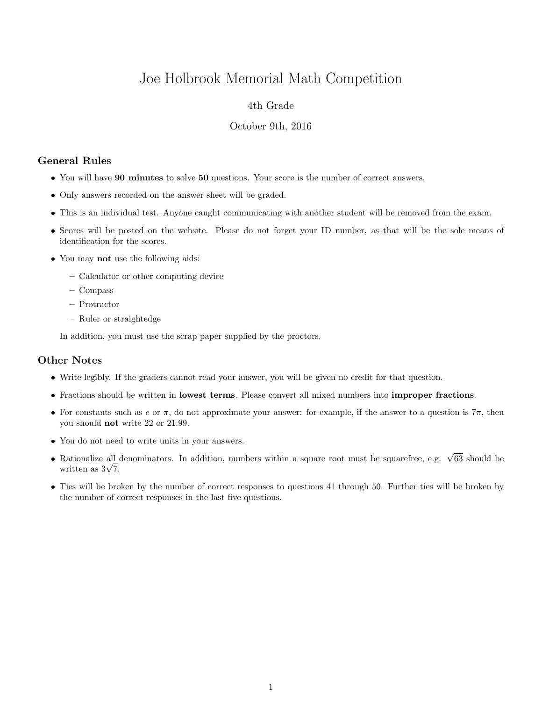# Joe Holbrook Memorial Math Competition

## 4th Grade

#### October 9th, 2016

# General Rules

- You will have 90 minutes to solve 50 questions. Your score is the number of correct answers.
- Only answers recorded on the answer sheet will be graded.
- This is an individual test. Anyone caught communicating with another student will be removed from the exam.
- Scores will be posted on the website. Please do not forget your ID number, as that will be the sole means of identification for the scores.
- You may not use the following aids:
	- Calculator or other computing device
	- Compass
	- Protractor
	- Ruler or straightedge

In addition, you must use the scrap paper supplied by the proctors.

## Other Notes

- Write legibly. If the graders cannot read your answer, you will be given no credit for that question.
- Fractions should be written in lowest terms. Please convert all mixed numbers into improper fractions.
- For constants such as e or  $\pi$ , do not approximate your answer: for example, if the answer to a question is  $7\pi$ , then you should not write 22 or 21.99.
- You do not need to write units in your answers.
- Rationalize all denominators. In addition, numbers within a square root must be squarefree, e.g.  $\sqrt{63}$  should be Rationalize all  $\frac{1}{\sqrt{7}}$ .
- Ties will be broken by the number of correct responses to questions 41 through 50. Further ties will be broken by the number of correct responses in the last five questions.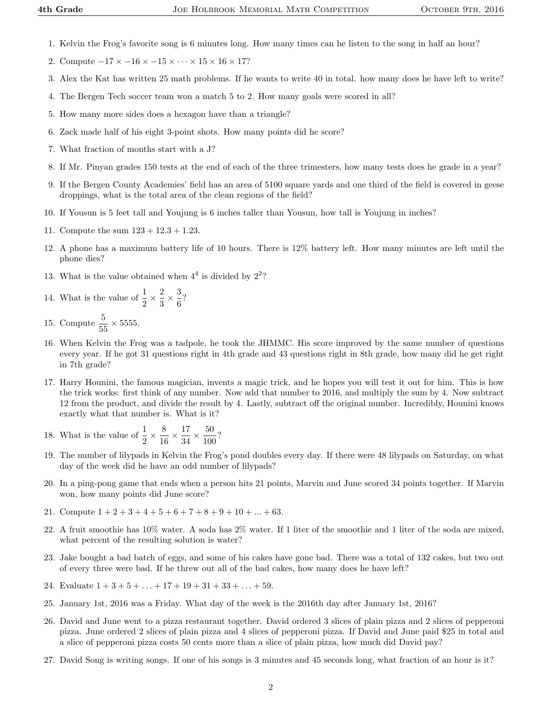- 1. Kelvin the Frog's favorite song is 6 minutes long. How many times can he listen to the song in half an hour?
- 2. Compute  $-17 \times -16 \times -15 \times \cdots \times 15 \times 16 \times 17$ ?
- 3. Alex the Kat has written 25 math problems. If he wants to write 40 in total. how many does he have left to write?
- 4. The Bergen Tech soccer team won a match 5 to 2. How many goals were scored in all?
- 5. How many more sides does a hexagon have than a triangle?
- 6. Zack made half of his eight 3-point shots. How many points did he score?
- 7. What fraction of months start with a J?
- 8. If Mr. Pinyan grades 150 tests at the end of each of the three trimesters, how many tests does he grade in a year?
- 9. If the Bergen County Academies' field has an area of 5100 square yards and one third of the field is covered in geese droppings, what is the total area of the clean regions of the field?
- 10. If Yousun is 5 feet tall and Youjung is 6 inches taller than Yousun, how tall is Youjung in inches?
- 11. Compute the sum  $123 + 12.3 + 1.23$ .
- 12. A phone has a maximum battery life of 10 hours. There is 12% battery left. How many minutes are left until the phone dies?
- 13. What is the value obtained when  $4^4$  is divided by  $2^2$ ?
- 14. What is the value of  $\frac{1}{2} \times \frac{2}{3}$  $\frac{2}{3} \times \frac{3}{6}$  $\frac{5}{6}$ ?
- 15. Compute  $\frac{5}{55} \times 5555$ .
- 16. When Kelvin the Frog was a tadpole, he took the JHMMC. His score improved by the same number of questions every year. If he got 31 questions right in 4th grade and 43 questions right in 8th grade, how many did he get right in 7th grade?
- 17. Harry Hounini, the famous magician, invents a magic trick, and he hopes you will test it out for him. This is how the trick works: first think of any number. Now add that number to 2016, and multiply the sum by 4. Now subtract 12 from the product, and divide the result by 4. Lastly, subtract off the original number. Incredibly, Hounini knows exactly what that number is. What is it?
- 18. What is the value of  $\frac{1}{2} \times \frac{8}{16}$  $\frac{8}{16} \times \frac{17}{34}$  $\frac{17}{34} \times \frac{50}{100}$  $\frac{100}{100}$ ?
- 19. The number of lilypads in Kelvin the Frog's pond doubles every day. If there were 48 lilypads on Saturday, on what day of the week did he have an odd number of lilypads?
- 20. In a ping-pong game that ends when a person hits 21 points, Marvin and June scored 34 points together. If Marvin won, how many points did June score?
- 21. Compute  $1 + 2 + 3 + 4 + 5 + 6 + 7 + 8 + 9 + 10 + \ldots + 63$ .
- 22. A fruit smoothie has 10% water. A soda has 2% water. If 1 liter of the smoothie and 1 liter of the soda are mixed, what percent of the resulting solution is water?
- 23. Jake bought a bad batch of eggs, and some of his cakes have gone bad. There was a total of 132 cakes, but two out of every three were bad. If he threw out all of the bad cakes, how many does he have left?
- 24. Evaluate  $1 + 3 + 5 + \ldots + 17 + 19 + 31 + 33 + \ldots + 59$ .
- 25. January 1st, 2016 was a Friday. What day of the week is the 2016th day after January 1st, 2016?
- 26. David and June went to a pizza restaurant together. David ordered 3 slices of plain pizza and 2 slices of pepperoni pizza. June ordered 2 slices of plain pizza and 4 slices of pepperoni pizza. If David and June paid \$25 in total and a slice of pepperoni pizza costs 50 cents more than a slice of plain pizza, how much did David pay?
- 27. David Song is writing songs. If one of his songs is 3 minutes and 45 seconds long, what fraction of an hour is it?